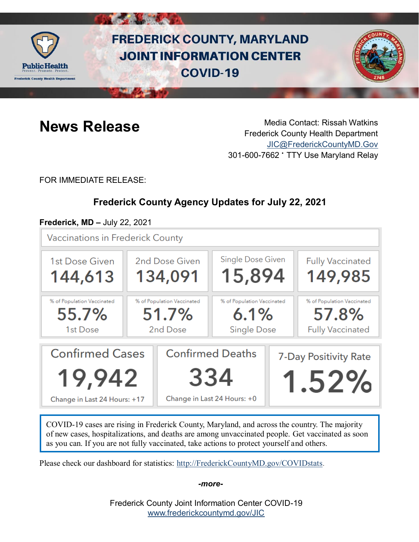

# **FREDERICK COUNTY, MARYLAND JOINT INFORMATION CENTER COVID-19**



**News Release** Media Contact: Rissah Watkins Frederick County Health Department [JIC@FrederickCountyMD.Gov](mailto:JIC@FrederickCountyMD.Gov) 301-600-7662 • TTY Use Maryland Relay

FOR IMMEDIATE RELEASE:

# **Frederick County Agency Updates for July 22, 2021**

# **Frederick, MD –** July 22, 2021

**Vaccinations in Frederick County** 



COVID-19 cases are rising in Frederick County, Maryland, and across the country. The majority of new cases, hospitalizations, and deaths are among unvaccinated people. Get vaccinated as soon as you can. If you are not fully vaccinated, take actions to protect yourself and others.

Please check our dashboard for statistics: [http://FrederickCountyMD.gov/COVIDstats.](http://frederickcountymd.gov/COVIDstats)

*-more-*

Frederick County Joint Information Center COVID-19 [www.frederickcountymd.gov/JIC](https://frederickcountymd.gov/JIC)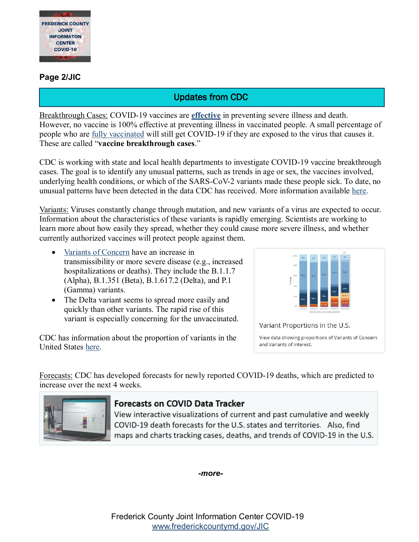

#### **Page 2/JIC**

# Updates from CDC

Breakthrough Cases: COVID-19 vaccines are **[effective](https://www.cdc.gov/coronavirus/2019-ncov/vaccines/effectiveness.html)** in preventing severe illness and death. However, no vaccine is 100% effective at preventing illness in vaccinated people. A small percentage of people who are [fully vaccinated](https://www.cdc.gov/coronavirus/2019-ncov/vaccines/fully-vaccinated.html) will still get COVID-19 if they are exposed to the virus that causes it. These are called "**vaccine breakthrough cases**."

CDC is working with state and local health departments to investigate COVID-19 vaccine breakthrough cases. The goal is to identify any unusual patterns, such as trends in age or sex, the vaccines involved, underlying health conditions, or which of the SARS-CoV-2 variants made these people sick. To date, no unusual patterns have been detected in the data CDC has received. More information available [here.](https://www.cdc.gov/vaccines/covid-19/health-departments/breakthrough-cases.html)

Variants: Viruses constantly change through mutation, and new variants of a virus are expected to occur. Information about the characteristics of these variants is rapidly emerging. Scientists are working to learn more about how easily they spread, whether they could cause more severe illness, and whether currently authorized vaccines will protect people against them.

- [Variants of Concern](https://www.cdc.gov/coronavirus/2019-ncov/variants/variant-info.html#Concern) have an increase in transmissibility or more severe disease (e.g., increased hospitalizations or deaths). They include the B.1.1.7 (Alpha), B.1.351 (Beta), B.1.617.2 (Delta), and P.1 (Gamma) variants.
- The Delta variant seems to spread more easily and quickly than other variants. The rapid rise of this variant is especially concerning for the unvaccinated.

CDC has information about the proportion of variants in the United States [here.](https://covid.cdc.gov/covid-data-tracker/#variant-proportions)



Variant Proportions in the U.S.

View data showing proportions of Variants of Concern and Variants of Interest.

Forecasts: CDC has developed forecasts for newly reported COVID-19 deaths, which are predicted to increase over the next 4 weeks.



## **Forecasts on COVID Data Tracker**

View interactive visualizations of current and past cumulative and weekly COVID-19 death forecasts for the U.S. states and territories. Also, find maps and charts tracking cases, deaths, and trends of COVID-19 in the U.S.

*-more-*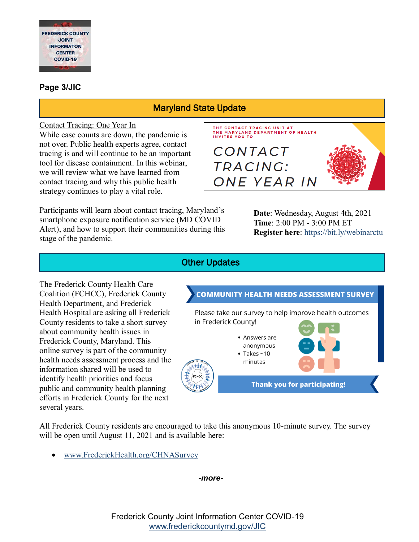

### **Page 3/JIC**

# Maryland State Update

#### Contact Tracing: One Year In

While case counts are down, the pandemic is not over. Public health experts agree, contact tracing is and will continue to be an important tool for disease containment. In this webinar, we will review what we have learned from contact tracing and why this public health strategy continues to play a vital role.

Participants will learn about contact tracing, Maryland's smartphone exposure notification service (MD COVID Alert), and how to support their communities during this stage of the pandemic.



**Date**: Wednesday, August 4th, 2021 **Time**: 2:00 PM - 3:00 PM ET **Register here**: <https://bit.ly/webinarctu>

# Other Updates

The Frederick County Health Care Coalition (FCHCC), Frederick County Health Department, and Frederick Health Hospital are asking all Frederick County residents to take a short survey about community health issues in Frederick County, Maryland. This online survey is part of the community health needs assessment process and the information shared will be used to identify health priorities and focus public and community health planning efforts in Frederick County for the next several years.

**COMMUNITY HEALTH NEEDS ASSESSMENT SURVEY** Please take our survey to help improve health outcomes in Frederick County! • Answers are anonymous  $\bullet$  Takes ~10 minutes ふか **Thank you for participating!** 

All Frederick County residents are encouraged to take this anonymous 10-minute survey. The survey will be open until August 11, 2021 and is available here:

[www.FrederickHealth.org/CHNASurvey](http://www.frederickhealth.org/CHNASurvey)

*-more-*